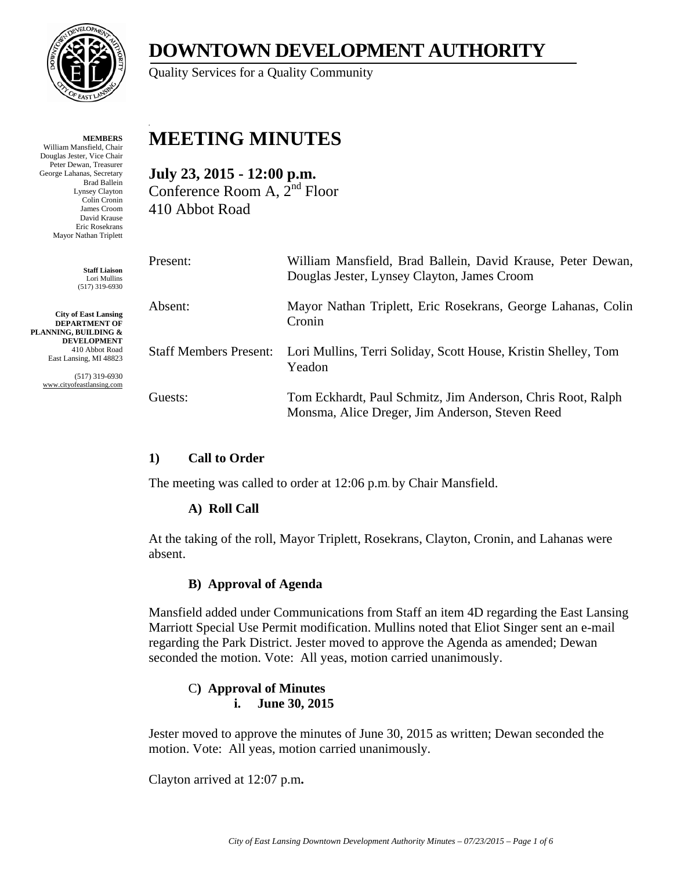

**MEMBERS** William Mansfield, Chair Douglas Jester, Vice Chair Peter Dewan, Treasurer George Lahanas, Secretary Brad Ballein Lynsey Clayton Colin Cronin James Croom David Krause Eric Rosekrans Mayor Nathan Triplett

> **Staff Liaison** Lori Mullins (517) 319-6930

**City of East Lansing DEPARTMENT OF PLANNING, BUILDING & DEVELOPMENT** 410 Abbot Road East Lansing, MI 48823

> (517) 319-6930 www.cityofeastlansing.com

# **DOWNTOWN DEVELOPMENT AUTHORITY**

Quality Services for a Quality Community

## **MEETING MINUTES**

**July 23, 2015 - 12:00 p.m.**  Conference Room A, 2nd Floor 410 Abbot Road

| Present:                      | William Mansfield, Brad Ballein, David Krause, Peter Dewan,<br>Douglas Jester, Lynsey Clayton, James Croom     |
|-------------------------------|----------------------------------------------------------------------------------------------------------------|
| Absent:                       | Mayor Nathan Triplett, Eric Rosekrans, George Lahanas, Colin<br>Cronin                                         |
| <b>Staff Members Present:</b> | Lori Mullins, Terri Soliday, Scott House, Kristin Shelley, Tom<br>Yeadon                                       |
| Guests:                       | Tom Eckhardt, Paul Schmitz, Jim Anderson, Chris Root, Ralph<br>Monsma, Alice Dreger, Jim Anderson, Steven Reed |

## **1) Call to Order**

The meeting was called to order at 12:06 p.m. by Chair Mansfield.

## **A) Roll Call**

At the taking of the roll, Mayor Triplett, Rosekrans, Clayton, Cronin, and Lahanas were absent.

## **B) Approval of Agenda**

Mansfield added under Communications from Staff an item 4D regarding the East Lansing Marriott Special Use Permit modification. Mullins noted that Eliot Singer sent an e-mail regarding the Park District. Jester moved to approve the Agenda as amended; Dewan seconded the motion. Vote: All yeas, motion carried unanimously.

#### C**) Approval of Minutes i. June 30, 2015**

Jester moved to approve the minutes of June 30, 2015 as written; Dewan seconded the motion. Vote: All yeas, motion carried unanimously.

Clayton arrived at 12:07 p.m**.**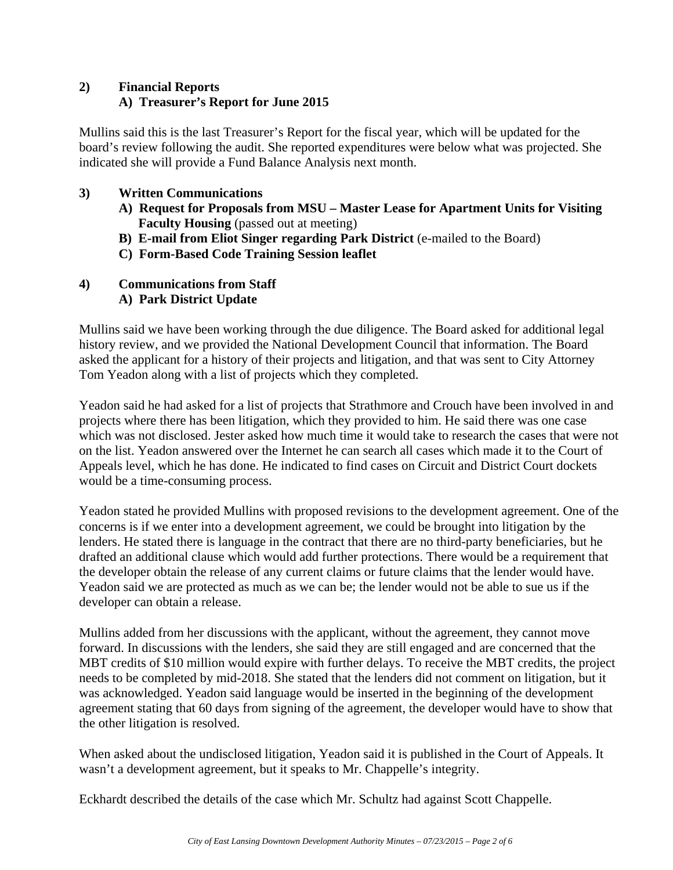## **2) Financial Reports A) Treasurer's Report for June 2015**

Mullins said this is the last Treasurer's Report for the fiscal year, which will be updated for the board's review following the audit. She reported expenditures were below what was projected. She indicated she will provide a Fund Balance Analysis next month.

## **3) Written Communications**

- **A) Request for Proposals from MSU Master Lease for Apartment Units for Visiting Faculty Housing** (passed out at meeting)
- **B) E-mail from Eliot Singer regarding Park District** (e-mailed to the Board)
- **C) Form-Based Code Training Session leaflet**

## **4) Communications from Staff**

 **A) Park District Update** 

Mullins said we have been working through the due diligence. The Board asked for additional legal history review, and we provided the National Development Council that information. The Board asked the applicant for a history of their projects and litigation, and that was sent to City Attorney Tom Yeadon along with a list of projects which they completed.

Yeadon said he had asked for a list of projects that Strathmore and Crouch have been involved in and projects where there has been litigation, which they provided to him. He said there was one case which was not disclosed. Jester asked how much time it would take to research the cases that were not on the list. Yeadon answered over the Internet he can search all cases which made it to the Court of Appeals level, which he has done. He indicated to find cases on Circuit and District Court dockets would be a time-consuming process.

Yeadon stated he provided Mullins with proposed revisions to the development agreement. One of the concerns is if we enter into a development agreement, we could be brought into litigation by the lenders. He stated there is language in the contract that there are no third-party beneficiaries, but he drafted an additional clause which would add further protections. There would be a requirement that the developer obtain the release of any current claims or future claims that the lender would have. Yeadon said we are protected as much as we can be; the lender would not be able to sue us if the developer can obtain a release.

Mullins added from her discussions with the applicant, without the agreement, they cannot move forward. In discussions with the lenders, she said they are still engaged and are concerned that the MBT credits of \$10 million would expire with further delays. To receive the MBT credits, the project needs to be completed by mid-2018. She stated that the lenders did not comment on litigation, but it was acknowledged. Yeadon said language would be inserted in the beginning of the development agreement stating that 60 days from signing of the agreement, the developer would have to show that the other litigation is resolved.

When asked about the undisclosed litigation, Yeadon said it is published in the Court of Appeals. It wasn't a development agreement, but it speaks to Mr. Chappelle's integrity.

Eckhardt described the details of the case which Mr. Schultz had against Scott Chappelle.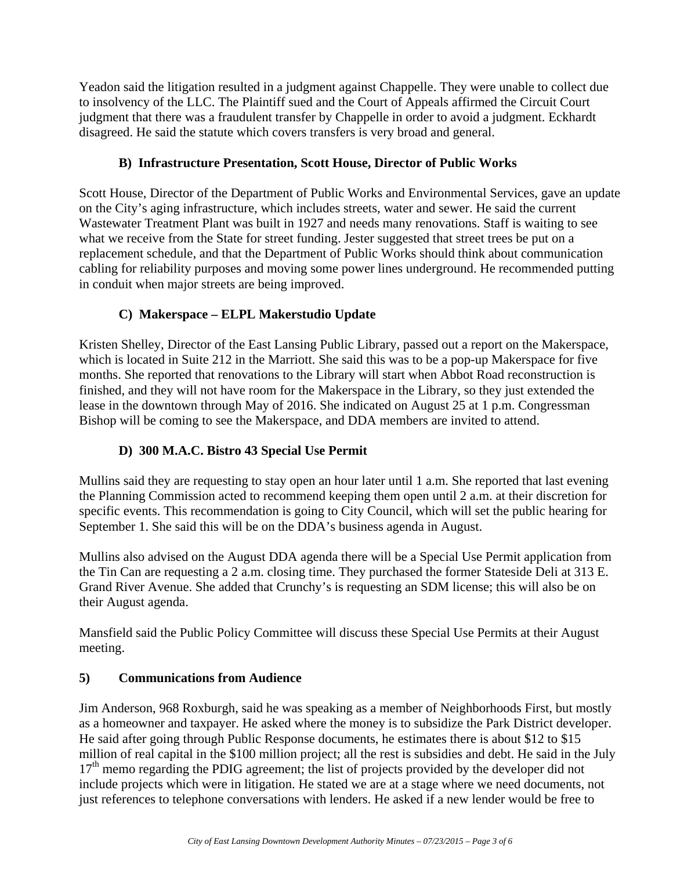Yeadon said the litigation resulted in a judgment against Chappelle. They were unable to collect due to insolvency of the LLC. The Plaintiff sued and the Court of Appeals affirmed the Circuit Court judgment that there was a fraudulent transfer by Chappelle in order to avoid a judgment. Eckhardt disagreed. He said the statute which covers transfers is very broad and general.

## **B) Infrastructure Presentation, Scott House, Director of Public Works**

Scott House, Director of the Department of Public Works and Environmental Services, gave an update on the City's aging infrastructure, which includes streets, water and sewer. He said the current Wastewater Treatment Plant was built in 1927 and needs many renovations. Staff is waiting to see what we receive from the State for street funding. Jester suggested that street trees be put on a replacement schedule, and that the Department of Public Works should think about communication cabling for reliability purposes and moving some power lines underground. He recommended putting in conduit when major streets are being improved.

## **C) Makerspace – ELPL Makerstudio Update**

Kristen Shelley, Director of the East Lansing Public Library, passed out a report on the Makerspace, which is located in Suite 212 in the Marriott. She said this was to be a pop-up Makerspace for five months. She reported that renovations to the Library will start when Abbot Road reconstruction is finished, and they will not have room for the Makerspace in the Library, so they just extended the lease in the downtown through May of 2016. She indicated on August 25 at 1 p.m. Congressman Bishop will be coming to see the Makerspace, and DDA members are invited to attend.

## **D) 300 M.A.C. Bistro 43 Special Use Permit**

Mullins said they are requesting to stay open an hour later until 1 a.m. She reported that last evening the Planning Commission acted to recommend keeping them open until 2 a.m. at their discretion for specific events. This recommendation is going to City Council, which will set the public hearing for September 1. She said this will be on the DDA's business agenda in August.

Mullins also advised on the August DDA agenda there will be a Special Use Permit application from the Tin Can are requesting a 2 a.m. closing time. They purchased the former Stateside Deli at 313 E. Grand River Avenue. She added that Crunchy's is requesting an SDM license; this will also be on their August agenda.

Mansfield said the Public Policy Committee will discuss these Special Use Permits at their August meeting.

## **5) Communications from Audience**

Jim Anderson, 968 Roxburgh, said he was speaking as a member of Neighborhoods First, but mostly as a homeowner and taxpayer. He asked where the money is to subsidize the Park District developer. He said after going through Public Response documents, he estimates there is about \$12 to \$15 million of real capital in the \$100 million project; all the rest is subsidies and debt. He said in the July  $17<sup>th</sup>$  memo regarding the PDIG agreement; the list of projects provided by the developer did not include projects which were in litigation. He stated we are at a stage where we need documents, not just references to telephone conversations with lenders. He asked if a new lender would be free to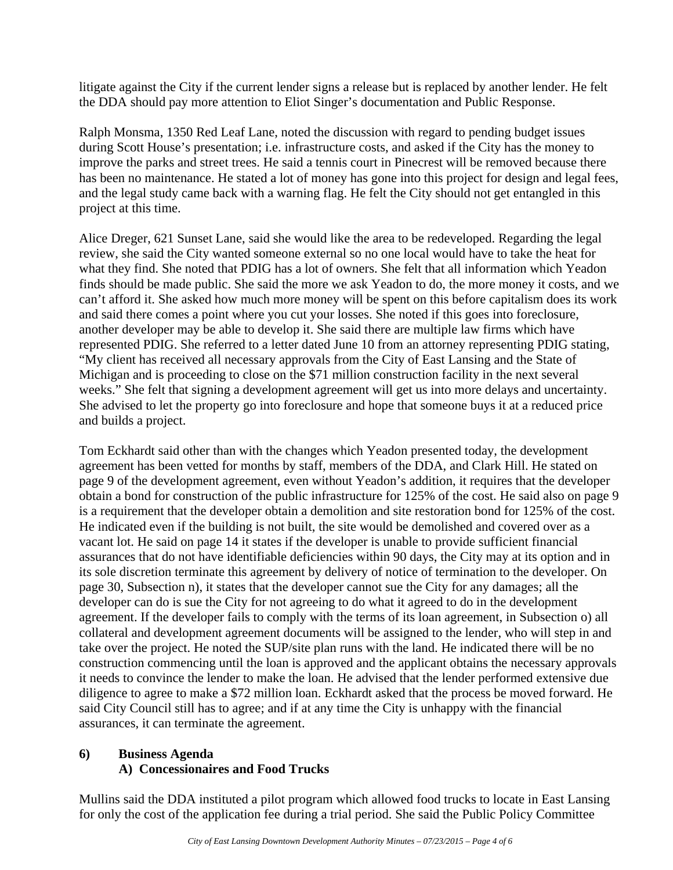litigate against the City if the current lender signs a release but is replaced by another lender. He felt the DDA should pay more attention to Eliot Singer's documentation and Public Response.

Ralph Monsma, 1350 Red Leaf Lane, noted the discussion with regard to pending budget issues during Scott House's presentation; i.e. infrastructure costs, and asked if the City has the money to improve the parks and street trees. He said a tennis court in Pinecrest will be removed because there has been no maintenance. He stated a lot of money has gone into this project for design and legal fees, and the legal study came back with a warning flag. He felt the City should not get entangled in this project at this time.

Alice Dreger, 621 Sunset Lane, said she would like the area to be redeveloped. Regarding the legal review, she said the City wanted someone external so no one local would have to take the heat for what they find. She noted that PDIG has a lot of owners. She felt that all information which Yeadon finds should be made public. She said the more we ask Yeadon to do, the more money it costs, and we can't afford it. She asked how much more money will be spent on this before capitalism does its work and said there comes a point where you cut your losses. She noted if this goes into foreclosure, another developer may be able to develop it. She said there are multiple law firms which have represented PDIG. She referred to a letter dated June 10 from an attorney representing PDIG stating, "My client has received all necessary approvals from the City of East Lansing and the State of Michigan and is proceeding to close on the \$71 million construction facility in the next several weeks." She felt that signing a development agreement will get us into more delays and uncertainty. She advised to let the property go into foreclosure and hope that someone buys it at a reduced price and builds a project.

Tom Eckhardt said other than with the changes which Yeadon presented today, the development agreement has been vetted for months by staff, members of the DDA, and Clark Hill. He stated on page 9 of the development agreement, even without Yeadon's addition, it requires that the developer obtain a bond for construction of the public infrastructure for 125% of the cost. He said also on page 9 is a requirement that the developer obtain a demolition and site restoration bond for 125% of the cost. He indicated even if the building is not built, the site would be demolished and covered over as a vacant lot. He said on page 14 it states if the developer is unable to provide sufficient financial assurances that do not have identifiable deficiencies within 90 days, the City may at its option and in its sole discretion terminate this agreement by delivery of notice of termination to the developer. On page 30, Subsection n), it states that the developer cannot sue the City for any damages; all the developer can do is sue the City for not agreeing to do what it agreed to do in the development agreement. If the developer fails to comply with the terms of its loan agreement, in Subsection o) all collateral and development agreement documents will be assigned to the lender, who will step in and take over the project. He noted the SUP/site plan runs with the land. He indicated there will be no construction commencing until the loan is approved and the applicant obtains the necessary approvals it needs to convince the lender to make the loan. He advised that the lender performed extensive due diligence to agree to make a \$72 million loan. Eckhardt asked that the process be moved forward. He said City Council still has to agree; and if at any time the City is unhappy with the financial assurances, it can terminate the agreement.

#### **6) Business Agenda A) Concessionaires and Food Trucks**

Mullins said the DDA instituted a pilot program which allowed food trucks to locate in East Lansing for only the cost of the application fee during a trial period. She said the Public Policy Committee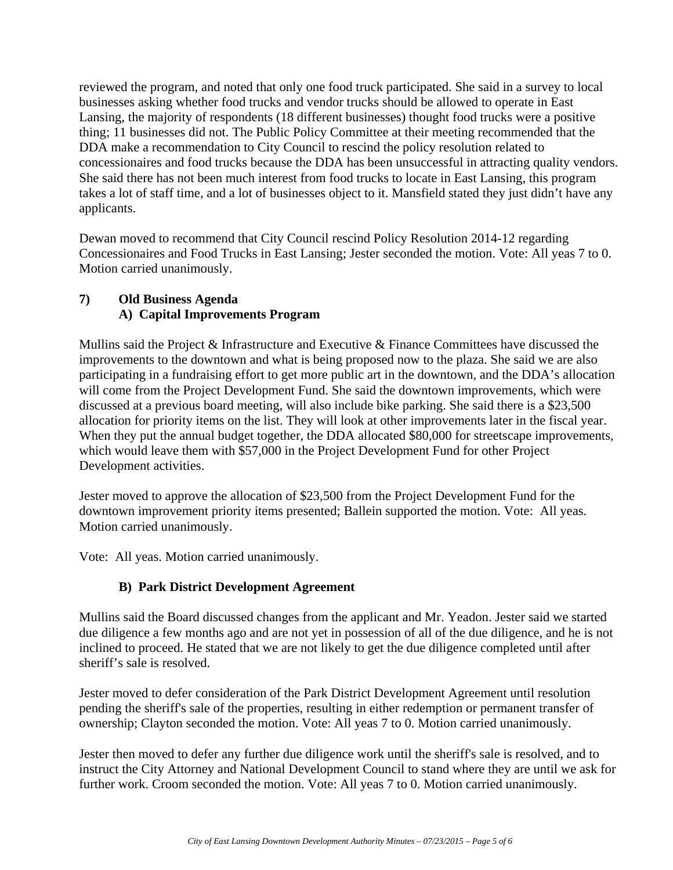reviewed the program, and noted that only one food truck participated. She said in a survey to local businesses asking whether food trucks and vendor trucks should be allowed to operate in East Lansing, the majority of respondents (18 different businesses) thought food trucks were a positive thing; 11 businesses did not. The Public Policy Committee at their meeting recommended that the DDA make a recommendation to City Council to rescind the policy resolution related to concessionaires and food trucks because the DDA has been unsuccessful in attracting quality vendors. She said there has not been much interest from food trucks to locate in East Lansing, this program takes a lot of staff time, and a lot of businesses object to it. Mansfield stated they just didn't have any applicants.

Dewan moved to recommend that City Council rescind Policy Resolution 2014-12 regarding Concessionaires and Food Trucks in East Lansing; Jester seconded the motion. Vote: All yeas 7 to 0. Motion carried unanimously.

## **7) Old Business Agenda A) Capital Improvements Program**

Mullins said the Project & Infrastructure and Executive & Finance Committees have discussed the improvements to the downtown and what is being proposed now to the plaza. She said we are also participating in a fundraising effort to get more public art in the downtown, and the DDA's allocation will come from the Project Development Fund. She said the downtown improvements, which were discussed at a previous board meeting, will also include bike parking. She said there is a \$23,500 allocation for priority items on the list. They will look at other improvements later in the fiscal year. When they put the annual budget together, the DDA allocated \$80,000 for streetscape improvements, which would leave them with \$57,000 in the Project Development Fund for other Project Development activities.

Jester moved to approve the allocation of \$23,500 from the Project Development Fund for the downtown improvement priority items presented; Ballein supported the motion. Vote: All yeas. Motion carried unanimously.

Vote: All yeas. Motion carried unanimously.

## **B) Park District Development Agreement**

Mullins said the Board discussed changes from the applicant and Mr. Yeadon. Jester said we started due diligence a few months ago and are not yet in possession of all of the due diligence, and he is not inclined to proceed. He stated that we are not likely to get the due diligence completed until after sheriff's sale is resolved.

Jester moved to defer consideration of the Park District Development Agreement until resolution pending the sheriff's sale of the properties, resulting in either redemption or permanent transfer of ownership; Clayton seconded the motion. Vote: All yeas 7 to 0. Motion carried unanimously.

Jester then moved to defer any further due diligence work until the sheriff's sale is resolved, and to instruct the City Attorney and National Development Council to stand where they are until we ask for further work. Croom seconded the motion. Vote: All yeas 7 to 0. Motion carried unanimously.